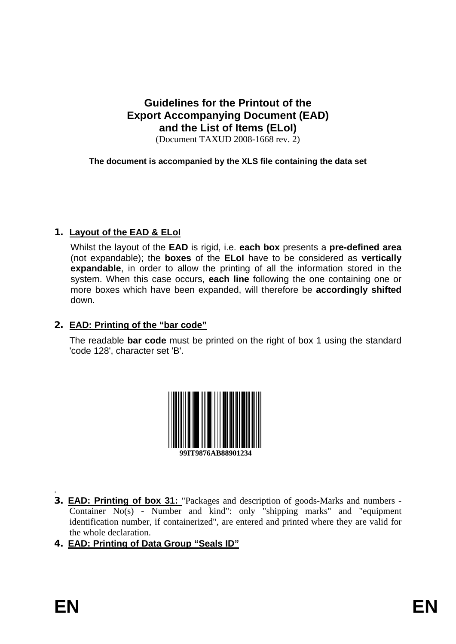# **Guidelines for the Printout of the Export Accompanying Document (EAD) and the List of Items (ELoI)**

(Document TAXUD 2008-1668 rev. 2)

**The document is accompanied by the XLS file containing the data set** 

#### **1. Layout of the EAD & ELoI**

Whilst the layout of the **EAD** is rigid, i.e. **each box** presents a **pre-defined area** (not expandable); the **boxes** of the **ELoI** have to be considered as **vertically expandable**, in order to allow the printing of all the information stored in the system. When this case occurs, **each line** following the one containing one or more boxes which have been expanded, will therefore be **accordingly shifted** down.

#### **2. EAD: Printing of the "bar code"**

The readable **bar code** must be printed on the right of box 1 using the standard 'code 128', character set 'B'.



. **3. EAD: Printing of box 31:** "Packages and description of goods-Marks and numbers - Container No(s) - Number and kind": only "shipping marks" and "equipment identification number, if containerized", are entered and printed where they are valid for the whole declaration.

#### **4. EAD: Printing of Data Group "Seals ID"**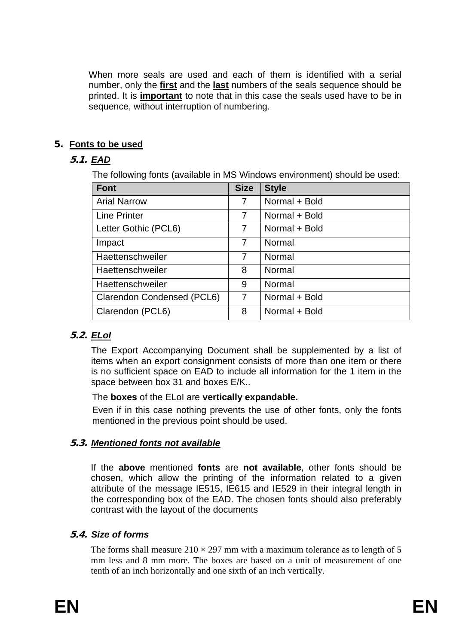When more seals are used and each of them is identified with a serial number, only the **first** and the **last** numbers of the seals sequence should be printed. It is **important** to note that in this case the seals used have to be in sequence, without interruption of numbering.

## **5. Fonts to be used**

## **5.1.** *EAD*

The following fonts (available in MS Windows environment) should be used:

| <b>Font</b>                | <b>Size</b>    | <b>Style</b>  |
|----------------------------|----------------|---------------|
| <b>Arial Narrow</b>        | $\overline{7}$ | Normal + Bold |
| <b>Line Printer</b>        | 7              | Normal + Bold |
| Letter Gothic (PCL6)       | 7              | Normal + Bold |
| Impact                     | 7              | Normal        |
| Haettenschweiler           | 7              | Normal        |
| Haettenschweiler           | 8              | Normal        |
| Haettenschweiler           | 9              | Normal        |
| Clarendon Condensed (PCL6) | 7              | Normal + Bold |
| Clarendon (PCL6)           | 8              | Normal + Bold |

## **5.2.** *ELoI*

The Export Accompanying Document shall be supplemented by a list of items when an export consignment consists of more than one item or there is no sufficient space on EAD to include all information for the 1 item in the space between box 31 and boxes E/K..

#### The **boxes** of the ELoI are **vertically expandable.**

Even if in this case nothing prevents the use of other fonts, only the fonts mentioned in the previous point should be used.

## **5.3.** *Mentioned fonts not available*

If the **above** mentioned **fonts** are **not available**, other fonts should be chosen, which allow the printing of the information related to a given attribute of the message IE515, IE615 and IE529 in their integral length in the corresponding box of the EAD. The chosen fonts should also preferably contrast with the layout of the documents

## **5.4.** *Size of forms*

The forms shall measure  $210 \times 297$  mm with a maximum tolerance as to length of 5 mm less and 8 mm more. The boxes are based on a unit of measurement of one tenth of an inch horizontally and one sixth of an inch vertically.